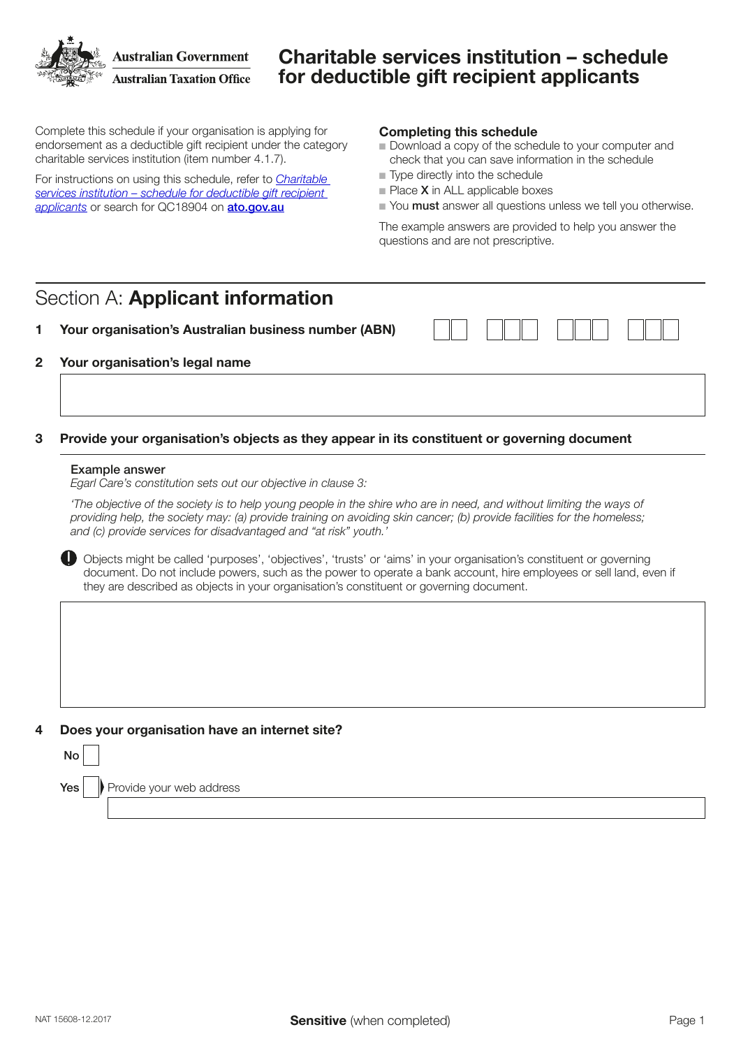**Australian Government Australian Taxation Office** 

# Charitable services institution – schedule for deductible gift recipient applicants

Complete this schedule if your organisation is applying for endorsement as a deductible gift recipient under the category charitable services institution (item number 4.1.7).

For instructions on using this schedule, refer to *[Charitable](https://www.ato.gov.au/non-profit/getting-started/in-detail/dgr-schedules/charitable-services-institution---schedule-for-deductible-gift-recipient-applicants/)  [services institution – schedule for deductible gift recipient](https://www.ato.gov.au/non-profit/getting-started/in-detail/dgr-schedules/charitable-services-institution---schedule-for-deductible-gift-recipient-applicants/)*  [applicants](https://www.ato.gov.au/non-profit/getting-started/in-detail/dgr-schedules/charitable-services-institution---schedule-for-deductible-gift-recipient-applicants/) or search for QC18904 on **[ato.gov.au](http://ato.gov.au)** 

### Completing this schedule

- Download a copy of the schedule to your computer and check that you can save information in the schedule
- $\blacksquare$  Type directly into the schedule
- $\blacksquare$  Place **X** in ALL applicable boxes
- Nou must answer all questions unless we tell you otherwise.

The example answers are provided to help you answer the questions and are not prescriptive.

# Section A: Applicant information

### 1 Your organisation's Australian business number (ABN)

## 2 Your organisation's legal name

## 3 Provide your organisation's objects as they appear in its constituent or governing document

#### Example answer

*Egarl Care's constitution sets out our objective in clause 3:*

'The objective of the society is to help young people in the shire who are in need, and without limiting the ways of providing help, the society may: (a) provide training on avoiding skin cancer; (b) provide facilities for the homeless; and (c) provide services for disadvantaged and "at risk" youth.

 Objects might be called 'purposes', 'objectives', 'trusts' or 'aims' in your organisation's constituent or governing document. Do not include powers, such as the power to operate a bank account, hire employees or sell land, even if they are described as objects in your organisation's constituent or governing document.



| ۰,<br>۰.<br>v<br>$\sim$ |
|-------------------------|
|                         |

 $Yes \cup$  Provide your web address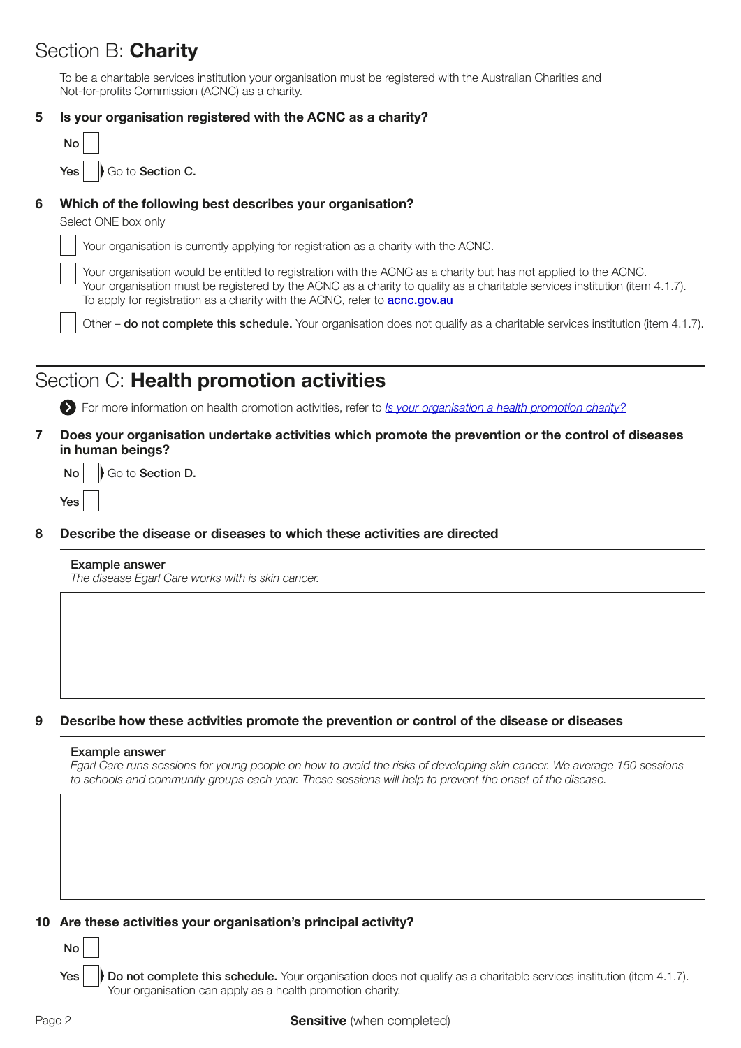# Section B: Charity

To be a charitable services institution your organisation must be registered with the Australian Charities and Not-for-profits Commission (ACNC) as a charity.

|  |  | 5 Is your organisation registered with the ACNC as a charity? |  |  |  |  |
|--|--|---------------------------------------------------------------|--|--|--|--|
|--|--|---------------------------------------------------------------|--|--|--|--|

|   | No                                                                                                                                                                                                                                                                                                                                  |
|---|-------------------------------------------------------------------------------------------------------------------------------------------------------------------------------------------------------------------------------------------------------------------------------------------------------------------------------------|
|   | Go to Section C.<br><b>Yes</b>                                                                                                                                                                                                                                                                                                      |
| 6 | Which of the following best describes your organisation?<br>Select ONE box only                                                                                                                                                                                                                                                     |
|   | Your organisation is currently applying for registration as a charity with the ACNC.                                                                                                                                                                                                                                                |
|   | Your organisation would be entitled to registration with the ACNC as a charity but has not applied to the ACNC.<br>Your organisation must be registered by the ACNC as a charity to qualify as a charitable services institution (item 4.1.7).<br>To apply for registration as a charity with the ACNC, refer to <b>acnc.gov.au</b> |
|   | $\mathbf{r}$ , and the state of the state of the state of the state of the state of the state of the state of the state of the state of the state of the state of the state of the state of the state of the state of the state o                                                                                                   |

Other – do not complete this schedule. Your organisation does not qualify as a charitable services institution (item 4.1.7).

# Section C: Health promotion activities

For more information on health promotion activities, refer to *[Is your organisation a health promotion charity?](https://www.ato.gov.au/Non-profit/Getting-started/In-detail/Types-of-charities/Is-your-organisation-a-health-promotion-charity-/)*

7 Does your organisation undertake activities which promote the prevention or the control of diseases in human beings?

 $\mathsf{No} \parallel \mathsf{No}$  Go to Section D.

8 Describe the disease or diseases to which these activities are directed

## Example answer

Yes

The disease Egarl Care works with is skin cancer.

## 9 Describe how these activities promote the prevention or control of the disease or diseases

#### Example answer

Egarl Care runs sessions for young people on how to avoid the risks of developing skin cancer. We average 150 sessions to schools and community groups each year. These sessions will help to prevent the onset of the disease.

## 10 Are these activities your organisation's principal activity?

Do not complete this schedule. Your organisation does not qualify as a charitable services institution (item 4.1.7). Your organisation can apply as a health promotion charity. Yes

No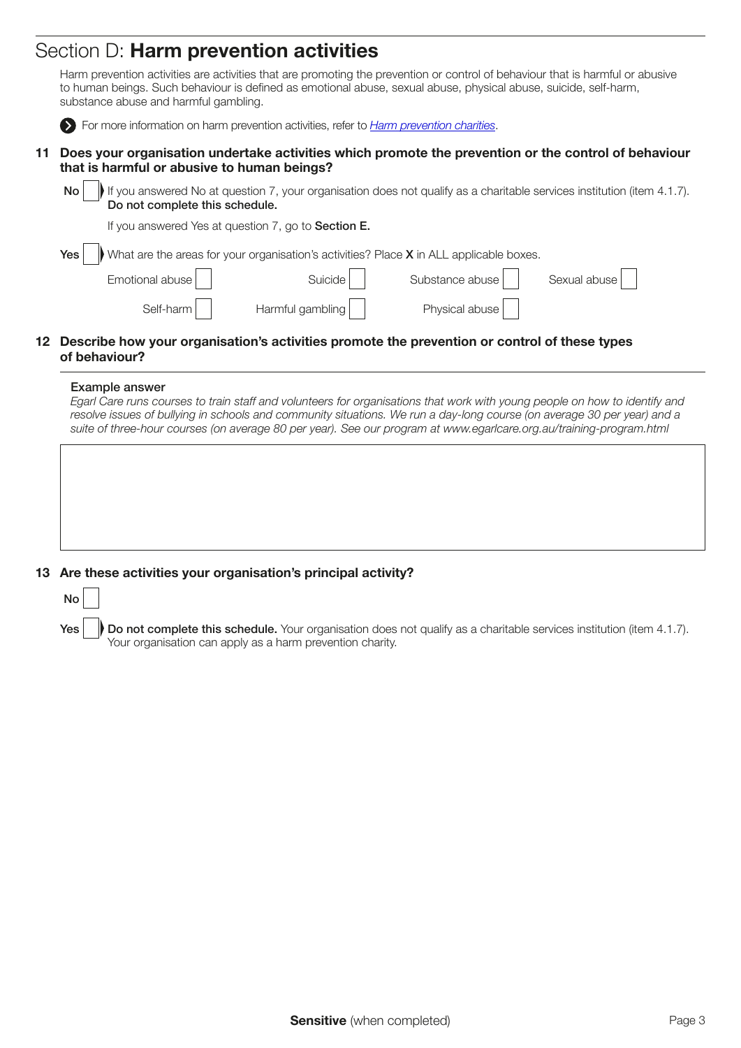# Section D: Harm prevention activities

|    | Harm prevention activities are activities that are promoting the prevention or control of behaviour that is harmful or abusive<br>to human beings. Such behaviour is defined as emotional abuse, sexual abuse, physical abuse, suicide, self-harm,<br>substance abuse and harmful gambling. |  |  |  |  |  |
|----|---------------------------------------------------------------------------------------------------------------------------------------------------------------------------------------------------------------------------------------------------------------------------------------------|--|--|--|--|--|
|    | For more information on harm prevention activities, refer to <i>Harm prevention charities</i> .                                                                                                                                                                                             |  |  |  |  |  |
| 11 | Does your organisation undertake activities which promote the prevention or the control of behaviour<br>that is harmful or abusive to human beings?                                                                                                                                         |  |  |  |  |  |
|    | If you answered No at question 7, your organisation does not qualify as a charitable services institution (item 4.1.7).<br>No <sub>1</sub><br>Do not complete this schedule.                                                                                                                |  |  |  |  |  |
|    | If you answered Yes at question 7, go to <b>Section E.</b>                                                                                                                                                                                                                                  |  |  |  |  |  |
|    | What are the areas for your organisation's activities? Place X in ALL applicable boxes.<br>Yes                                                                                                                                                                                              |  |  |  |  |  |
|    | Substance abuse<br>Emotional abuse<br>Suicide<br>Sexual abuse                                                                                                                                                                                                                               |  |  |  |  |  |
|    | Harmful gambling<br>Physical abuse<br>Self-harm                                                                                                                                                                                                                                             |  |  |  |  |  |
|    |                                                                                                                                                                                                                                                                                             |  |  |  |  |  |

## 12 Describe how your organisation's activities promote the prevention or control of these types of behaviour?

### Example answer

Egarl Care runs courses to train staff and volunteers for organisations that work with young people on how to identify and resolve issues of bullying in schools and community situations. We run a day-long course (on average 30 per year) and a suite of three-hour courses (on average 80 per year). See our program at www.egarlcare.org.au/training-program.html

### 13 Are these activities your organisation's principal activity?



Do not complete this schedule. Your organisation does not qualify as a charitable services institution (item 4.1.7). Your organisation can apply as a harm prevention charity.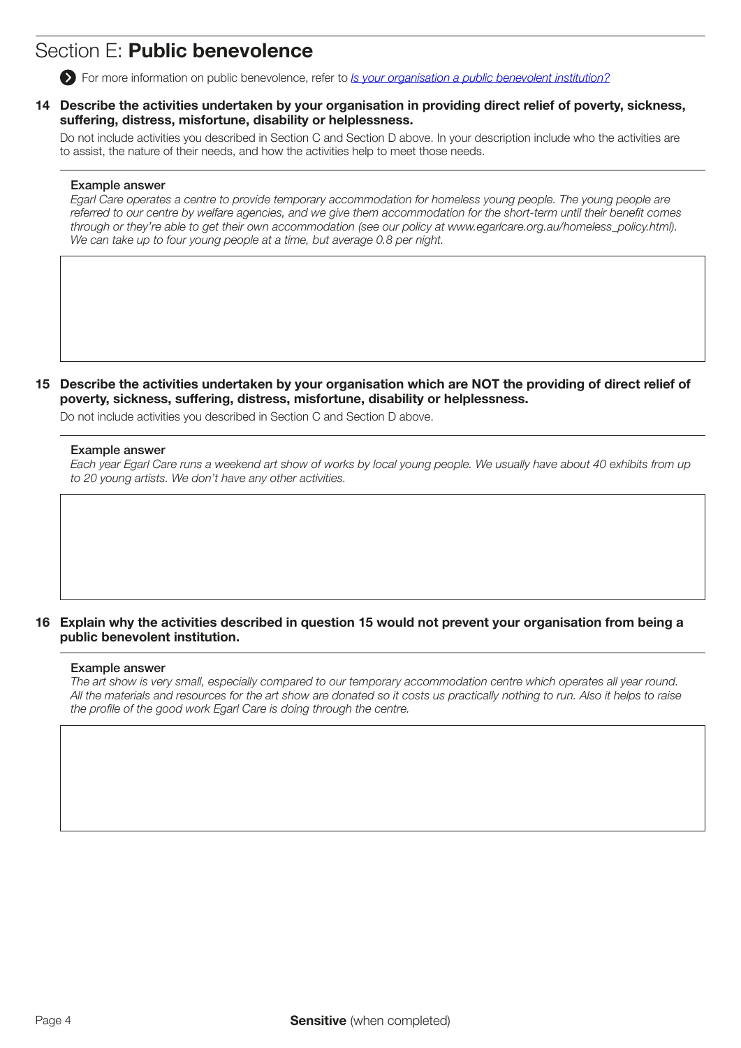# Section E: Public benevolence

For more information on public benevolence, refer to *[Is your organisation a public benevolent institution?](https://www.ato.gov.au/Non-profit/Getting-started/In-detail/Types-of-charities/Is-your-organisation-a-public-benevolent-institution-/)*

14 Describe the activities undertaken by your organisation in providing direct relief of poverty, sickness, suffering, distress, misfortune, disability or helplessness.

Do not include activities you described in Section C and Section D above. In your description include who the activities are to assist, the nature of their needs, and how the activities help to meet those needs.

### Example answer

Egarl Care operates a centre to provide temporary accommodation for homeless young people. The young people are referred to our centre by welfare agencies, and we give them accommodation for the short-term until their benefit comes through or they're able to get their own accommodation (see our policy at www.egarlcare.org.au/homeless\_policy.html). We can take up to four young people at a time, but average 0.8 per night.

15 Describe the activities undertaken by your organisation which are NOT the providing of direct relief of poverty, sickness, suffering, distress, misfortune, disability or helplessness.

Do not include activities you described in Section C and Section D above.

### Example answer

Each year Egarl Care runs a weekend art show of works by local young people. We usually have about 40 exhibits from up to 20 young artists. We don't have any other activities.

## 16 Explain why the activities described in question 15 would not prevent your organisation from being a public benevolent institution.

#### Example answer

The art show is very small, especially compared to our temporary accommodation centre which operates all year round. All the materials and resources for the art show are donated so it costs us practically nothing to run. Also it helps to raise the profile of the good work Egarl Care is doing through the centre.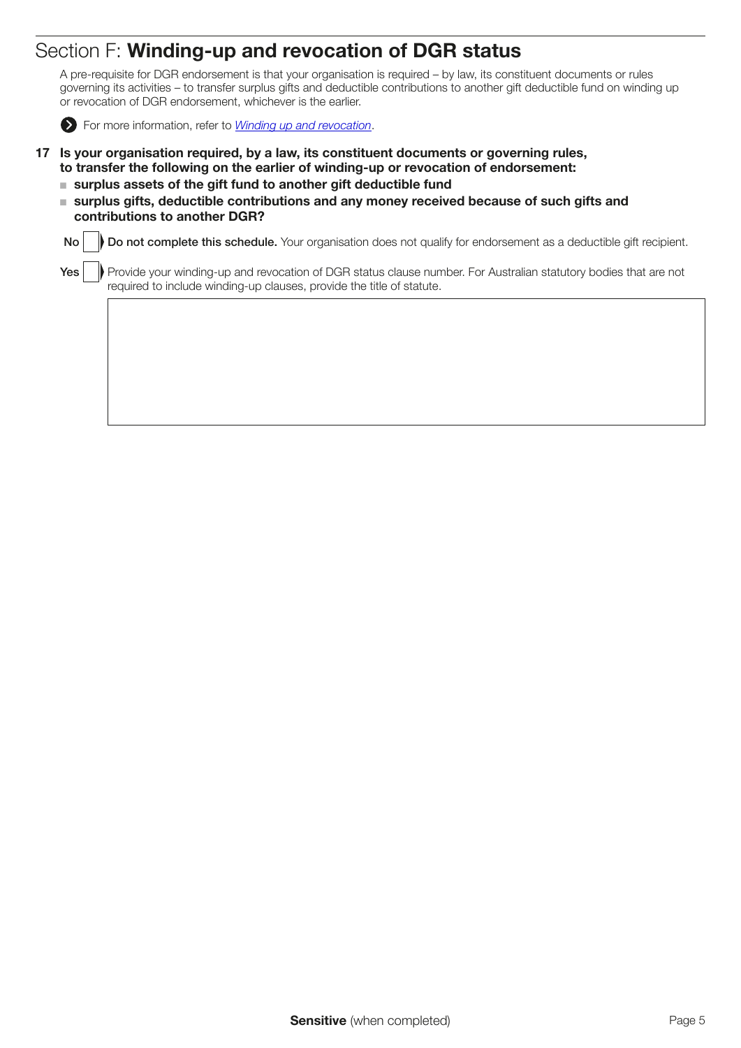# Section F: Winding-up and revocation of DGR status

A pre-requisite for DGR endorsement is that your organisation is required – by law, its constituent documents or rules governing its activities – to transfer surplus gifts and deductible contributions to another gift deductible fund on winding up or revocation of DGR endorsement, whichever is the earlier.



For more information, refer to *[Winding up and revocation](https://www.ato.gov.au/Non-profit/Getting-started/In-detail/Types-of-DGRs/Rules-and-tests-for-DGR-endorsement/?anchor=Windingupandrevocation1#Windingupandrevocation1)*.

- 17 Is your organisation required, by a law, its constituent documents or governing rules, to transfer the following on the earlier of winding-up or revocation of endorsement:
	- $\blacksquare$  surplus assets of the gift fund to another gift deductible fund
	- surplus gifts, deductible contributions and any money received because of such gifts and contributions to another DGR?

No Do not complete this schedule. Your organisation does not qualify for endorsement as a deductible gift recipient.

Yes **Provide your winding-up and revocation of DGR status clause number. For Australian statutory bodies that are not** required to include winding-up clauses, provide the title of statute.